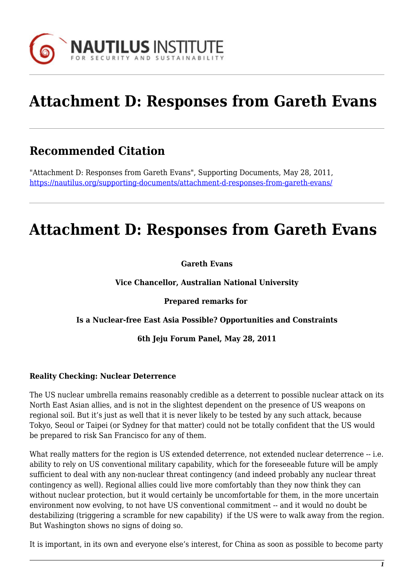

# **Attachment D: Responses from Gareth Evans**

# **Recommended Citation**

"Attachment D: Responses from Gareth Evans", Supporting Documents, May 28, 2011, <https://nautilus.org/supporting-documents/attachment-d-responses-from-gareth-evans/>

# **Attachment D: Responses from Gareth Evans**

### **Gareth Evans**

**Vice Chancellor, Australian National University**

**Prepared remarks for** 

#### **Is a Nuclear-free East Asia Possible? Opportunities and Constraints**

#### **6th Jeju Forum Panel, May 28, 2011**

### **Reality Checking: Nuclear Deterrence**

The US nuclear umbrella remains reasonably credible as a deterrent to possible nuclear attack on its North East Asian allies, and is not in the slightest dependent on the presence of US weapons on regional soil. But it's just as well that it is never likely to be tested by any such attack, because Tokyo, Seoul or Taipei (or Sydney for that matter) could not be totally confident that the US would be prepared to risk San Francisco for any of them.

What really matters for the region is US extended deterrence, not extended nuclear deterrence -- i.e. ability to rely on US conventional military capability, which for the foreseeable future will be amply sufficient to deal with any non-nuclear threat contingency (and indeed probably any nuclear threat contingency as well). Regional allies could live more comfortably than they now think they can without nuclear protection, but it would certainly be uncomfortable for them, in the more uncertain environment now evolving, to not have US conventional commitment -- and it would no doubt be destabilizing (triggering a scramble for new capability) if the US were to walk away from the region. But Washington shows no signs of doing so.

It is important, in its own and everyone else's interest, for China as soon as possible to become party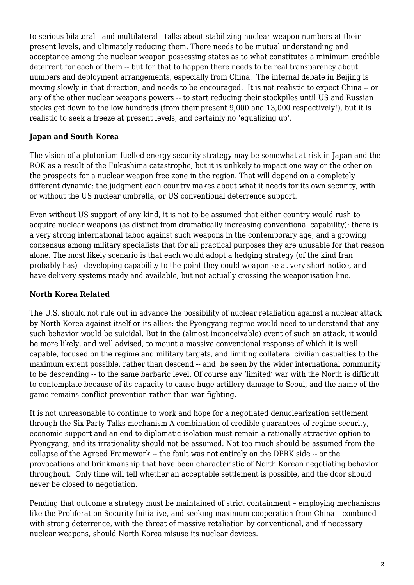to serious bilateral - and multilateral - talks about stabilizing nuclear weapon numbers at their present levels, and ultimately reducing them. There needs to be mutual understanding and acceptance among the nuclear weapon possessing states as to what constitutes a minimum credible deterrent for each of them -- but for that to happen there needs to be real transparency about numbers and deployment arrangements, especially from China. The internal debate in Beijing is moving slowly in that direction, and needs to be encouraged. It is not realistic to expect China -- or any of the other nuclear weapons powers -- to start reducing their stockpiles until US and Russian stocks get down to the low hundreds (from their present 9,000 and 13,000 respectively!), but it is realistic to seek a freeze at present levels, and certainly no 'equalizing up'.

# **Japan and South Korea**

The vision of a plutonium-fuelled energy security strategy may be somewhat at risk in Japan and the ROK as a result of the Fukushima catastrophe, but it is unlikely to impact one way or the other on the prospects for a nuclear weapon free zone in the region. That will depend on a completely different dynamic: the judgment each country makes about what it needs for its own security, with or without the US nuclear umbrella, or US conventional deterrence support.

Even without US support of any kind, it is not to be assumed that either country would rush to acquire nuclear weapons (as distinct from dramatically increasing conventional capability): there is a very strong international taboo against such weapons in the contemporary age, and a growing consensus among military specialists that for all practical purposes they are unusable for that reason alone. The most likely scenario is that each would adopt a hedging strategy (of the kind Iran probably has) - developing capability to the point they could weaponise at very short notice, and have delivery systems ready and available, but not actually crossing the weaponisation line.

# **North Korea Related**

The U.S. should not rule out in advance the possibility of nuclear retaliation against a nuclear attack by North Korea against itself or its allies: the Pyongyang regime would need to understand that any such behavior would be suicidal. But in the (almost inconceivable) event of such an attack, it would be more likely, and well advised, to mount a massive conventional response of which it is well capable, focused on the regime and military targets, and limiting collateral civilian casualties to the maximum extent possible, rather than descend -- and be seen by the wider international community to be descending -- to the same barbaric level. Of course any 'limited' war with the North is difficult to contemplate because of its capacity to cause huge artillery damage to Seoul, and the name of the game remains conflict prevention rather than war-fighting.

It is not unreasonable to continue to work and hope for a negotiated denuclearization settlement through the Six Party Talks mechanism A combination of credible guarantees of regime security, economic support and an end to diplomatic isolation must remain a rationally attractive option to Pyongyang, and its irrationality should not be assumed. Not too much should be assumed from the collapse of the Agreed Framework -- the fault was not entirely on the DPRK side -- or the provocations and brinkmanship that have been characteristic of North Korean negotiating behavior throughout. Only time will tell whether an acceptable settlement is possible, and the door should never be closed to negotiation.

Pending that outcome a strategy must be maintained of strict containment – employing mechanisms like the Proliferation Security Initiative, and seeking maximum cooperation from China – combined with strong deterrence, with the threat of massive retaliation by conventional, and if necessary nuclear weapons, should North Korea misuse its nuclear devices.